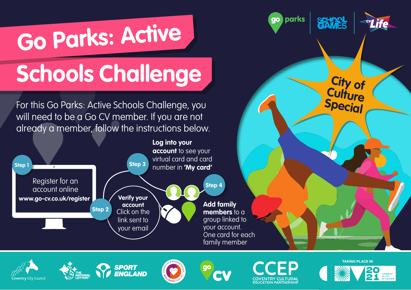